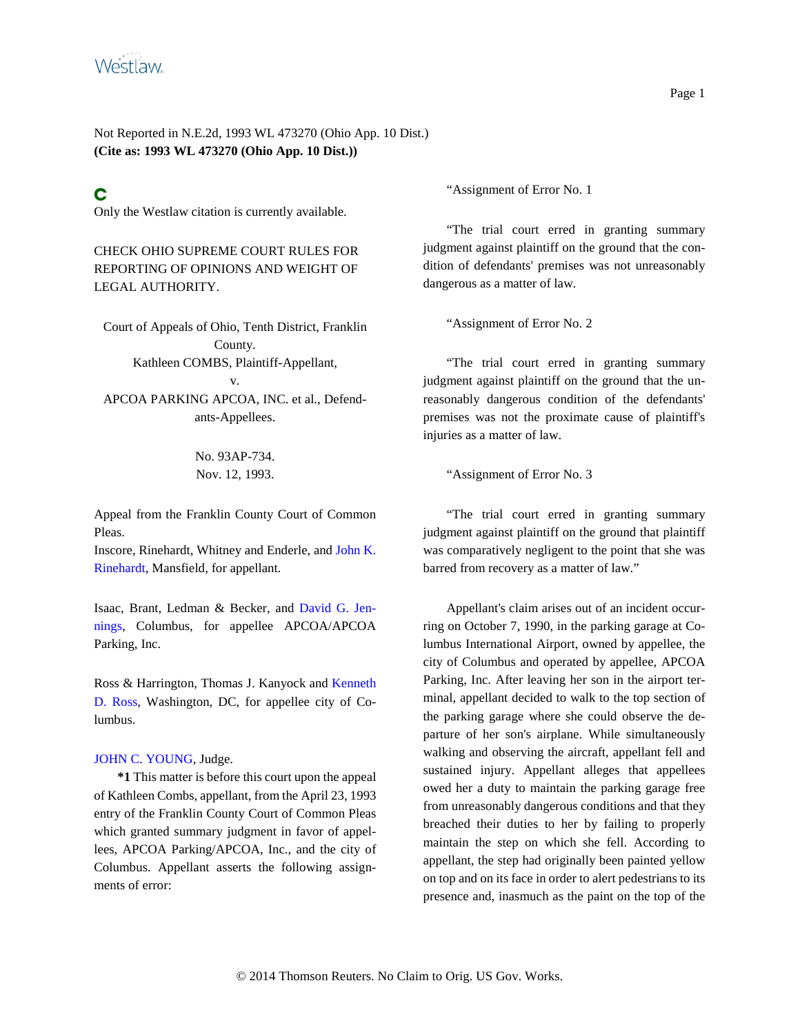

Not Reported in N.E.2d, 1993 WL 473270 (Ohio App. 10 Dist.) **(Cite as: 1993 WL 473270 (Ohio App. 10 Dist.))**

# C

Only the Westlaw citation is currently available.

## CHECK OHIO SUPREME COURT RULES FOR REPORTING OF OPINIONS AND WEIGHT OF LEGAL AUTHORITY.

Court of Appeals of Ohio, Tenth District, Franklin County. Kathleen COMBS, Plaintiff-Appellant, v. APCOA PARKING APCOA, INC. et al., Defendants-Appellees.

> No. 93AP-734. Nov. 12, 1993.

Appeal from the Franklin County Court of Common Pleas.

Inscore, Rinehardt, Whitney and Enderle, and John K. Rinehardt, Mansfield, for appellant.

Isaac, Brant, Ledman & Becker, and David G. Jennings, Columbus, for appellee APCOA/APCOA Parking, Inc.

Ross & Harrington, Thomas J. Kanyock and Kenneth D. Ross, Washington, DC, for appellee city of Columbus.

#### JOHN C. YOUNG, Judge.

**\*1** This matter is before this court upon the appeal of Kathleen Combs, appellant, from the April 23, 1993 entry of the Franklin County Court of Common Pleas which granted summary judgment in favor of appellees, APCOA Parking/APCOA, Inc., and the city of Columbus. Appellant asserts the following assignments of error:

"Assignment of Error No. 1

"The trial court erred in granting summary judgment against plaintiff on the ground that the condition of defendants' premises was not unreasonably dangerous as a matter of law.

"Assignment of Error No. 2

"The trial court erred in granting summary judgment against plaintiff on the ground that the unreasonably dangerous condition of the defendants' premises was not the proximate cause of plaintiff's injuries as a matter of law.

"Assignment of Error No. 3

"The trial court erred in granting summary judgment against plaintiff on the ground that plaintiff was comparatively negligent to the point that she was barred from recovery as a matter of law."

Appellant's claim arises out of an incident occurring on October 7, 1990, in the parking garage at Columbus International Airport, owned by appellee, the city of Columbus and operated by appellee, APCOA Parking, Inc. After leaving her son in the airport terminal, appellant decided to walk to the top section of the parking garage where she could observe the departure of her son's airplane. While simultaneously walking and observing the aircraft, appellant fell and sustained injury. Appellant alleges that appellees owed her a duty to maintain the parking garage free from unreasonably dangerous conditions and that they breached their duties to her by failing to properly maintain the step on which she fell. According to appellant, the step had originally been painted yellow on top and on its face in order to alert pedestrians to its presence and, inasmuch as the paint on the top of the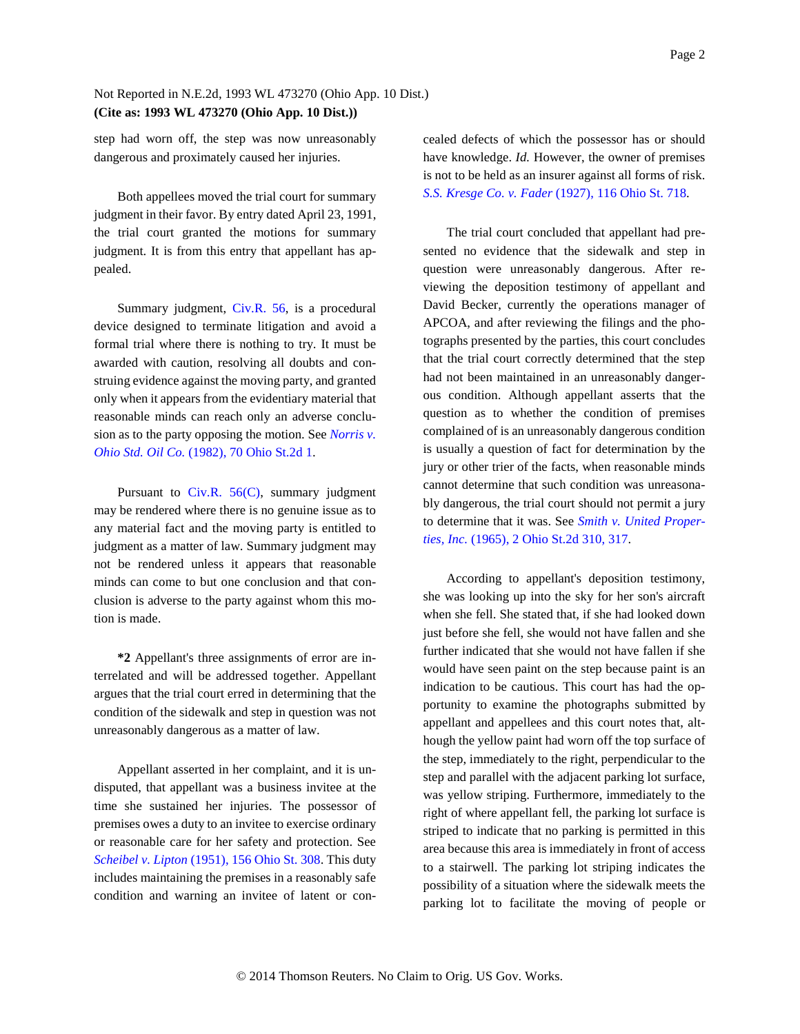## Not Reported in N.E.2d, 1993 WL 473270 (Ohio App. 10 Dist.) **(Cite as: 1993 WL 473270 (Ohio App. 10 Dist.))**

step had worn off, the step was now unreasonably dangerous and proximately caused her injuries.

Both appellees moved the trial court for summary judgment in their favor. By entry dated April 23, 1991, the trial court granted the motions for summary judgment. It is from this entry that appellant has appealed.

Summary judgment, Civ.R. 56, is a procedural device designed to terminate litigation and avoid a formal trial where there is nothing to try. It must be awarded with caution, resolving all doubts and construing evidence against the moving party, and granted only when it appears from the evidentiary material that reasonable minds can reach only an adverse conclusion as to the party opposing the motion. See *Norris v. Ohio Std. Oil Co.* (1982), 70 Ohio St.2d 1.

Pursuant to Civ.R.  $56(C)$ , summary judgment may be rendered where there is no genuine issue as to any material fact and the moving party is entitled to judgment as a matter of law. Summary judgment may not be rendered unless it appears that reasonable minds can come to but one conclusion and that conclusion is adverse to the party against whom this motion is made.

**\*2** Appellant's three assignments of error are interrelated and will be addressed together. Appellant argues that the trial court erred in determining that the condition of the sidewalk and step in question was not unreasonably dangerous as a matter of law.

Appellant asserted in her complaint, and it is undisputed, that appellant was a business invitee at the time she sustained her injuries. The possessor of premises owes a duty to an invitee to exercise ordinary or reasonable care for her safety and protection. See *Scheibel v. Lipton* (1951), 156 Ohio St. 308. This duty includes maintaining the premises in a reasonably safe condition and warning an invitee of latent or concealed defects of which the possessor has or should have knowledge. *Id.* However, the owner of premises is not to be held as an insurer against all forms of risk. *S.S. Kresge Co. v. Fader* (1927), 116 Ohio St. 718.

The trial court concluded that appellant had presented no evidence that the sidewalk and step in question were unreasonably dangerous. After reviewing the deposition testimony of appellant and David Becker, currently the operations manager of APCOA, and after reviewing the filings and the photographs presented by the parties, this court concludes that the trial court correctly determined that the step had not been maintained in an unreasonably dangerous condition. Although appellant asserts that the question as to whether the condition of premises complained of is an unreasonably dangerous condition is usually a question of fact for determination by the jury or other trier of the facts, when reasonable minds cannot determine that such condition was unreasonably dangerous, the trial court should not permit a jury to determine that it was. See *Smith v. United Properties, Inc.* (1965), 2 Ohio St.2d 310, 317.

According to appellant's deposition testimony, she was looking up into the sky for her son's aircraft when she fell. She stated that, if she had looked down just before she fell, she would not have fallen and she further indicated that she would not have fallen if she would have seen paint on the step because paint is an indication to be cautious. This court has had the opportunity to examine the photographs submitted by appellant and appellees and this court notes that, although the yellow paint had worn off the top surface of the step, immediately to the right, perpendicular to the step and parallel with the adjacent parking lot surface, was yellow striping. Furthermore, immediately to the right of where appellant fell, the parking lot surface is striped to indicate that no parking is permitted in this area because this area is immediately in front of access to a stairwell. The parking lot striping indicates the possibility of a situation where the sidewalk meets the parking lot to facilitate the moving of people or